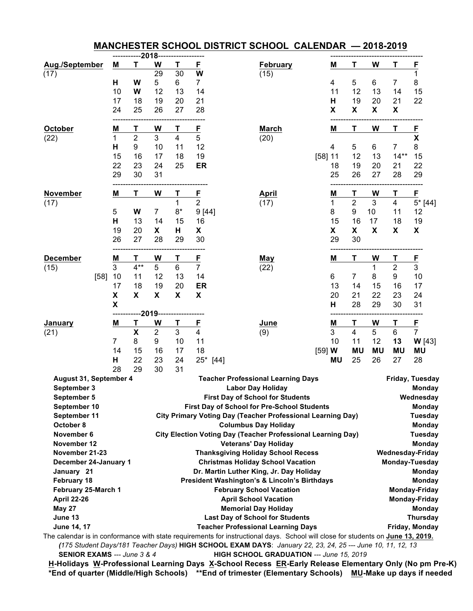|                                                                                                     |                    |                           |                |                                         |                         | MANCHESTER SCHOOL DISTRICT SCHOOL CALENDAR - 2018-2019                                                                          |                |           |                         |               |             |                 |
|-----------------------------------------------------------------------------------------------------|--------------------|---------------------------|----------------|-----------------------------------------|-------------------------|---------------------------------------------------------------------------------------------------------------------------------|----------------|-----------|-------------------------|---------------|-------------|-----------------|
|                                                                                                     |                    |                           | $-2018$        |                                         |                         |                                                                                                                                 |                |           |                         |               |             |                 |
| Aug./September                                                                                      | M                  | т                         | W              | Т                                       | <u>F</u>                | <b>February</b>                                                                                                                 |                | M         | Τ                       | W             | т           | <u>F</u>        |
| (17)                                                                                                |                    |                           | 29             | 30                                      | W                       | (15)                                                                                                                            |                |           |                         |               |             | 1               |
|                                                                                                     | н                  | W                         | 5              | 6                                       | 7                       |                                                                                                                                 |                | 4         | 5                       | 6             | 7           | 8               |
|                                                                                                     | 10                 | W                         | 12             | 13                                      | 14                      |                                                                                                                                 |                | 11        | 12                      | 13            | 14          | 15              |
|                                                                                                     | 17                 | 18                        | 19             | 20                                      | 21                      |                                                                                                                                 |                | Н         | 19                      | 20            | 21          | 22              |
|                                                                                                     | 24                 | 25                        | 26             | 27                                      | 28                      |                                                                                                                                 |                | X         | X                       | X             | X           |                 |
| <b>October</b>                                                                                      | M                  | Τ                         | W              | Т                                       | E                       | <b>March</b>                                                                                                                    |                | M         | Τ                       | W             | T           | $\mathsf{F}$    |
| (22)                                                                                                | 1                  | $\overline{2}$            | 3              | 4                                       | 5                       | (20)                                                                                                                            |                |           |                         |               |             | $\mathsf{x}$    |
|                                                                                                     | Н                  | 9                         | 10             | 11                                      | 12                      |                                                                                                                                 |                | 4         | 5                       | 6             | 7           | 8               |
|                                                                                                     | 15                 | 16                        | 17             | 18                                      | 19                      |                                                                                                                                 | [58] 11        |           | 12                      | 13            | $14**$      | 15              |
|                                                                                                     | 22                 | 23                        | 24             | 25                                      | ER                      |                                                                                                                                 |                | 18        | 19                      | 20            | 21          | 22              |
|                                                                                                     | 29                 | 30                        | 31             |                                         |                         |                                                                                                                                 |                | 25        | 26                      | 27            | 28          | 29              |
| November                                                                                            | M                  | т                         | W              | Τ                                       | <u>F</u>                | <b>April</b>                                                                                                                    |                | M         | Τ                       | W             | Τ           | E               |
| (17)                                                                                                |                    |                           |                | 1                                       | $\overline{c}$          | (17)                                                                                                                            |                | 1         | $\mathbf 2$             | 3             | 4           | $5*$ [44]       |
|                                                                                                     | 5                  | W                         | $\overline{7}$ | $8*$                                    | 9[44]                   |                                                                                                                                 |                | 8         | 9                       | 10            | 11          | 12              |
|                                                                                                     | Н                  | 13                        | 14             | 15                                      | 16                      |                                                                                                                                 |                | 15        | 16                      | 17            | 18          | 19              |
|                                                                                                     | 19                 | 20                        | X              | н                                       | X                       |                                                                                                                                 |                | X         | X                       | X             | X           | X               |
|                                                                                                     | 26                 | 27                        | 28             | 29                                      | 30                      |                                                                                                                                 |                | 29        | 30                      |               |             |                 |
| <b>December</b>                                                                                     | $M$                | Т                         | W              | Т                                       | E                       | <b>May</b>                                                                                                                      |                | M         | Т                       | W             | Τ           | E               |
| (15)                                                                                                | 3                  | $4***$                    | 5              | 6                                       | $\overline{7}$          | (22)                                                                                                                            |                |           |                         | 1             | $\mathbf 2$ | 3               |
| $[58]$                                                                                              | 10                 | 11                        | 12             | 13                                      | 14                      |                                                                                                                                 |                | 6         | 7                       | 8             | 9           | 10              |
|                                                                                                     | 17                 | 18                        | 19             | 20                                      | ER                      |                                                                                                                                 |                | 13        | 14                      | 15            | 16          | 17              |
|                                                                                                     | $\pmb{\mathsf{X}}$ | X                         | X              | X                                       | X                       |                                                                                                                                 |                | 20        | 21                      | 22            | 23          | 24              |
|                                                                                                     | X                  |                           |                |                                         |                         |                                                                                                                                 |                | н         | 28                      | 29            | 30          | 31              |
|                                                                                                     |                    |                           | $-2019-$       |                                         |                         |                                                                                                                                 |                |           |                         |               |             |                 |
| <b>January</b>                                                                                      | M                  | Τ                         | W              | Τ                                       | <u>F</u>                | June                                                                                                                            |                | M         | т                       | W             | Τ           | $\mathsf{E}$    |
| (21)                                                                                                |                    | $\boldsymbol{\mathsf{X}}$ | $\mathbf 2$    | 3                                       | $\overline{\mathbf{4}}$ | (9)                                                                                                                             |                | 3         | $\overline{\mathbf{4}}$ | 5             | 6           | $\overline{7}$  |
|                                                                                                     | 7                  | 8                         | 9              | 10                                      | 11                      |                                                                                                                                 |                | 10        | 11                      | 12            | 13          | W[43]           |
|                                                                                                     | 14                 | 15                        | 16             | 17                                      | 18                      |                                                                                                                                 | $[59]$ W       |           | <b>MU</b>               | <b>MU</b>     | <b>MU</b>   | <b>MU</b>       |
|                                                                                                     | Н                  | 22                        | 23             | 24                                      |                         | 25* [44]                                                                                                                        |                | <b>MU</b> | 25                      | 26            | 27          | 28              |
|                                                                                                     | 28                 | 29                        | 30             | 31                                      |                         |                                                                                                                                 |                |           |                         |               |             |                 |
| August 31, September 4                                                                              |                    |                           |                |                                         |                         | <b>Teacher Professional Learning Days</b>                                                                                       |                |           |                         |               |             | Friday, Tuesday |
| September 3                                                                                         |                    |                           |                |                                         |                         | Labor Day Holiday                                                                                                               |                |           |                         |               |             | <b>Monday</b>   |
| September 5                                                                                         |                    |                           |                | <b>First Day of School for Students</b> |                         |                                                                                                                                 |                |           | Wednesday               |               |             |                 |
| September 10<br>First Day of School for Pre-School Students                                         |                    |                           |                |                                         |                         | <b>Monday</b>                                                                                                                   |                |           |                         |               |             |                 |
| September 11<br><b>City Primary Voting Day (Teacher Professional Learning Day)</b>                  |                    |                           |                |                                         |                         |                                                                                                                                 | <b>Tuesday</b> |           |                         |               |             |                 |
| October 8<br><b>Columbus Day Holiday</b>                                                            |                    |                           |                |                                         |                         | <b>Monday</b>                                                                                                                   |                |           |                         |               |             |                 |
| November 6<br><b>City Election Voting Day (Teacher Professional Learning Day)</b><br><b>Tuesday</b> |                    |                           |                |                                         |                         |                                                                                                                                 |                |           |                         |               |             |                 |
| November 12                                                                                         |                    |                           |                |                                         |                         | <b>Veterans' Day Holiday</b>                                                                                                    |                |           |                         |               |             | <b>Monday</b>   |
| November 21-23<br><b>Thanksgiving Holiday School Recess</b><br><b>Wednesday-Friday</b>              |                    |                           |                |                                         |                         |                                                                                                                                 |                |           |                         |               |             |                 |
| December 24-January 1<br><b>Christmas Holiday School Vacation</b><br>Monday-Tuesday                 |                    |                           |                |                                         |                         |                                                                                                                                 |                |           |                         |               |             |                 |
| January 21                                                                                          |                    |                           |                |                                         |                         | Dr. Martin Luther King, Jr. Day Holiday                                                                                         |                |           |                         |               |             | <b>Monday</b>   |
| February 18                                                                                         |                    |                           |                |                                         |                         | <b>President Washington's &amp; Lincoln's Birthdays</b>                                                                         |                |           |                         |               |             | <b>Monday</b>   |
| February 25-March 1                                                                                 |                    |                           |                | <b>February School Vacation</b>         |                         |                                                                                                                                 |                |           |                         | Monday-Friday |             |                 |
| <b>April 22-26</b><br><b>April School Vacation</b><br>Monday-Friday                                 |                    |                           |                |                                         |                         |                                                                                                                                 |                |           |                         |               |             |                 |
| <b>May 27</b><br><b>Memorial Day Holiday</b>                                                        |                    |                           |                |                                         |                         | <b>Monday</b>                                                                                                                   |                |           |                         |               |             |                 |
| June 13<br><b>Last Day of School for Students</b>                                                   |                    |                           |                |                                         | <b>Thursday</b>         |                                                                                                                                 |                |           |                         |               |             |                 |
| June 14, 17<br><b>Teacher Professional Learning Days</b><br>Friday, Monday                          |                    |                           |                |                                         |                         |                                                                                                                                 |                |           |                         |               |             |                 |
|                                                                                                     |                    |                           |                |                                         |                         | The calendar is in conformance with state requirements for instructional days. School will close for students on June 13, 2019. |                |           |                         |               |             |                 |
|                                                                                                     |                    |                           |                |                                         |                         | (175 Student Days/181 Teacher Days) HIGH SCHOOL EXAM DAYS: January 22, 23, 24, 25 --- June 10, 11, 12, 13                       |                |           |                         |               |             |                 |
| <b>SENIOR EXAMS</b> --- June 3 & 4                                                                  |                    |                           |                |                                         |                         | HIGH SCHOOL GRADUATION --- June 15, 2019                                                                                        |                |           |                         |               |             |                 |

**H-Holidays W-Professional Learning Days X-School Recess ER-Early Release Elementary Only (No pm Pre-K) \*End of quarter (Middle/High Schools) \*\*End of trimester (Elementary Schools) MU-Make up days if needed**